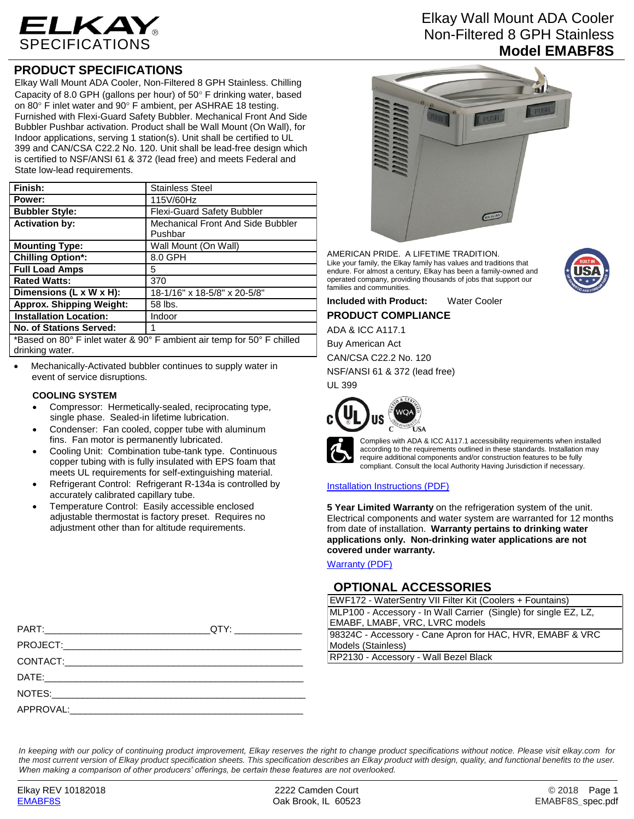

## **PRODUCT SPECIFICATIONS**

Elkay Wall Mount ADA Cooler, Non-Filtered 8 GPH Stainless. Chilling Capacity of 8.0 GPH (gallons per hour) of  $50^\circ$  F drinking water, based on 80 $\degree$  F inlet water and 90 $\degree$  F ambient, per ASHRAE 18 testing. Furnished with Flexi-Guard Safety Bubbler. Mechanical Front And Side Bubbler Pushbar activation. Product shall be Wall Mount (On Wall), for Indoor applications, serving 1 station(s). Unit shall be certified to UL 399 and CAN/CSA C22.2 No. 120. Unit shall be lead-free design which is certified to NSF/ANSI 61 & 372 (lead free) and meets Federal and State low-lead requirements.

| Finish:                                                                | <b>Stainless Steel</b>                       |  |
|------------------------------------------------------------------------|----------------------------------------------|--|
| Power:                                                                 | 115V/60Hz                                    |  |
| <b>Bubbler Style:</b>                                                  | <b>Flexi-Guard Safety Bubbler</b>            |  |
| <b>Activation by:</b>                                                  | Mechanical Front And Side Bubbler<br>Pushbar |  |
| <b>Mounting Type:</b>                                                  | Wall Mount (On Wall)                         |  |
| <b>Chilling Option*:</b>                                               | 8.0 GPH                                      |  |
| <b>Full Load Amps</b>                                                  | 5                                            |  |
| <b>Rated Watts:</b>                                                    | 370                                          |  |
| Dimensions (L x W x H):                                                | 18-1/16" x 18-5/8" x 20-5/8"                 |  |
| <b>Approx. Shipping Weight:</b>                                        | 58 lbs.                                      |  |
| <b>Installation Location:</b>                                          | Indoor                                       |  |
| <b>No. of Stations Served:</b>                                         |                                              |  |
| *Reead an 80° E inlet water 8,00° E ambient air temp for 50° E abilled |                                              |  |

Based on 80° F inlet water & 90° F ambient air temp for 50° F chilled drinking water.

 Mechanically-Activated bubbler continues to supply water in event of service disruptions.

## **COOLING SYSTEM**

- Compressor: Hermetically-sealed, reciprocating type, single phase. Sealed-in lifetime lubrication.
- Condenser: Fan cooled, copper tube with aluminum fins. Fan motor is permanently lubricated.
- Cooling Unit: Combination tube-tank type. Continuous copper tubing with is fully insulated with EPS foam that meets UL requirements for self-extinguishing material.
- Refrigerant Control: Refrigerant R-134a is controlled by accurately calibrated capillary tube.
- Temperature Control: Easily accessible enclosed adjustable thermostat is factory preset. Requires no adjustment other than for altitude requirements.

# Elkay Wall Mount ADA Cooler Non-Filtered 8 GPH Stainless **Model EMABF8S**



AMERICAN PRIDE. A LIFETIME TRADITION. Like your family, the Elkay family has values and traditions that endure. For almost a century, Elkay has been a family-owned and operated company, providing thousands of jobs that support our families and communities.

**Included with Product:** Water Cooler **PRODUCT COMPLIANCE**

ADA & ICC A117.1

Buy American Act

CAN/CSA C22.2 No. 120 NSF/ANSI 61 & 372 (lead free)

UL 399





Complies with ADA & ICC A117.1 accessibility requirements when installed according to the requirements outlined in these standards. Installation may require additional components and/or construction features to be fully compliant. Consult the local Authority Having Jurisdiction if necessary.

## [Installation Instructions \(PDF\)](http://www.elkay.com/wcsstore/lkdocs/care-cleaning-install-warranty-sheets/98932c.pdf)

**5 Year Limited Warranty** on the refrigeration system of the unit. Electrical components and water system are warranted for 12 months from date of installation. **Warranty pertains to drinking water applications only. Non-drinking water applications are not covered under warranty.**

[Warranty](http://www.elkay.com/wcsstore/lkdocs/care-cleaning-install-warranty-sheets/96993c.pdf) (PDF)

## **OPTIONAL ACCESSORIES**

EWF172 - WaterSentry VII Filter Kit (Coolers + Fountains) MLP100 - Accessory - In Wall Carrier (Single) for single EZ, LZ, EMABF, LMABF, VRC, LVRC models 98324C - Accessory - Cane Apron for HAC, HVR, EMABF & VRC Models (Stainless)

RP2130 - Accessory - Wall Bezel Black